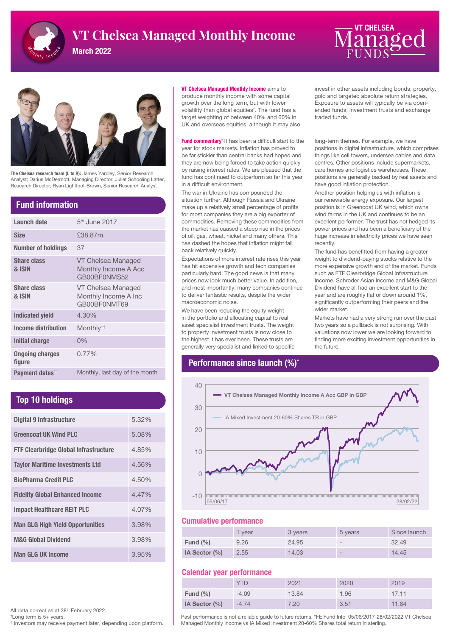

# **VT Chelsea Managed Monthly Income**  $\overline{\mathbf{M}}$  **on**  $\overline{\mathbf{\Omega}}$  **on**  $\overline{\mathbf{\Omega}}$

March 2022





The Chelsea research team (L to R): James Yardley, Senior Research Analyst; Darius McDermott, Managing Director; Juliet Schooling Latter, Research Director; Ryan Lightfoot-Brown, Senior Research Analyst

### Fund information

| Launch date                      | 5 <sup>th</sup> June 2017                                  |
|----------------------------------|------------------------------------------------------------|
| <b>Size</b>                      | £38.87m                                                    |
| <b>Number of holdings</b>        | 37                                                         |
| <b>Share class</b><br>& ISIN     | VT Chelsea Managed<br>Monthly Income A Acc<br>GB00BF0NMS52 |
| <b>Share class</b><br>& ISIN     | VT Chelsea Managed<br>Monthly Income A Inc<br>GB00BF0NMT69 |
| <b>Indicated vield</b>           | 4.30%                                                      |
| Income distribution              | Monthly <sup>††</sup>                                      |
| Initial charge                   | $0\%$                                                      |
| <b>Ongoing charges</b><br>figure | $0.77\%$                                                   |
| Payment dates <sup>††</sup>      | Monthly, last day of the month                             |

## Top 10 holdings

| <b>Digital 9 Infrastructure</b>              | 5.32% |
|----------------------------------------------|-------|
| <b>Greencoat UK Wind PLC</b>                 | 5.08% |
| <b>FTF Clearbridge Global Infrastructure</b> | 4.85% |
| <b>Taylor Maritime Investments Ltd</b>       | 4.56% |
| <b>BioPharma Credit PLC</b>                  | 4.50% |
| <b>Fidelity Global Enhanced Income</b>       | 4.47% |
| <b>Impact Healthcare REIT PLC</b>            | 4.07% |
| <b>Man GLG High Yield Opportunities</b>      | 3.98% |
| <b>M&amp;G Global Dividend</b>               | 3.98% |
| <b>Man GLG UK Income</b>                     | 3.95% |

#### VT Chelsea Managed Monthly Income aims to

produce monthly income with some capital growth over the long term, but with lower volatility than global equities† . The fund has a target weighting of between 40% and 60% in UK and overseas equities, although it may also

Fund commentary<sup>\*</sup> It has been a difficult start to the year for stock markets. Inflation has proved to be far stickier than central banks had hoped and they are now being forced to take action quickly by raising interest rates. We are pleased that the fund has continued to outperform so far this year in a difficult environment.

The war in Ukraine has compounded the situation further. Although Russia and Ukraine make up a relatively small percentage of profits for most companies they are a big exporter of commodities. Removing these commodities from the market has caused a steep rise in the prices of oil, gas, wheat, nickel and many others. This has dashed the hopes that inflation might fall back relatively quickly.

Expectations of more interest rate rises this year has hit expensive growth and tech companies particularly hard. The good news is that many prices now look much better value. In addition, and most importantly, many companies continue to deliver fantastic results, despite the wider macroeconomic noise.

We have been reducing the equity weight in the portfolio and allocating capital to real asset specialist investment trusts. The weight to property investment trusts is now close to the highest it has ever been. These trusts are generally very specialist and linked to specific

## Performance since launch (%)<sup>\*</sup>

invest in other assets including bonds, property, gold and targeted absolute return strategies. Exposure to assets will typically be via openended funds, investment trusts and exchange traded funds.

long-term themes. For example, we have positions in digital infrastructure, which comprises things like cell towers, undersea cables and data centres. Other positions include supermarkets, care homes and logistics warehouses. These positions are generally backed by real assets and have good inflation protection.

Another position helping us with inflation is our renewable energy exposure. Our largest position is in Greencoat UK wind, which owns wind farms in the UK and continues to be an excellent performer. The trust has not hedged its power prices and has been a beneficiary of the huge increase in electricity prices we have seen recently.

The fund has benefitted from having a greater weight to dividend-paying stocks relative to the more expensive growth end of the market. Funds such as FTF Clearbridge Global Infrastructure Income, Schroder Asian Income and M&G Global Dividend have all had an excellent start to the year and are roughly flat or down around 1%, significantly outperforming their peers and the wider market.

Markets have had a very strong run over the past two years so a pullback is not surprising. With valuations now lower we are looking forward to finding more exciting investment opportunities in the future.



#### Cumulative performance

|               | vear | 3 years | 5 years | Since launch |
|---------------|------|---------|---------|--------------|
| Fund $(\% )$  | 9.26 | 24.95   | $\sim$  | 32.49        |
| IA Sector (%) | 2.55 | 14.03   | $\sim$  | 14.45        |

#### Calendar year performance

|               | YTD     | 2021  | 2020 | 2019  |
|---------------|---------|-------|------|-------|
| Fund $(\% )$  | $-4.09$ | 13.84 | 1.96 | 17.11 |
| IA Sector (%) | $-4.74$ | 7.20  | 3.51 | 11.84 |

All data correct as at 28<sup>th</sup> February 2022.

† Long term is 5+ years.

††Investors may receive payment later, depending upon platform.

Past performance is not a reliable guide to future returns. \*FE Fund Info 05/06/2017-28/02/2022 VT Chelsea Managed Monthly Income vs IA Mixed Investment 20-60% Shares total return in sterling.